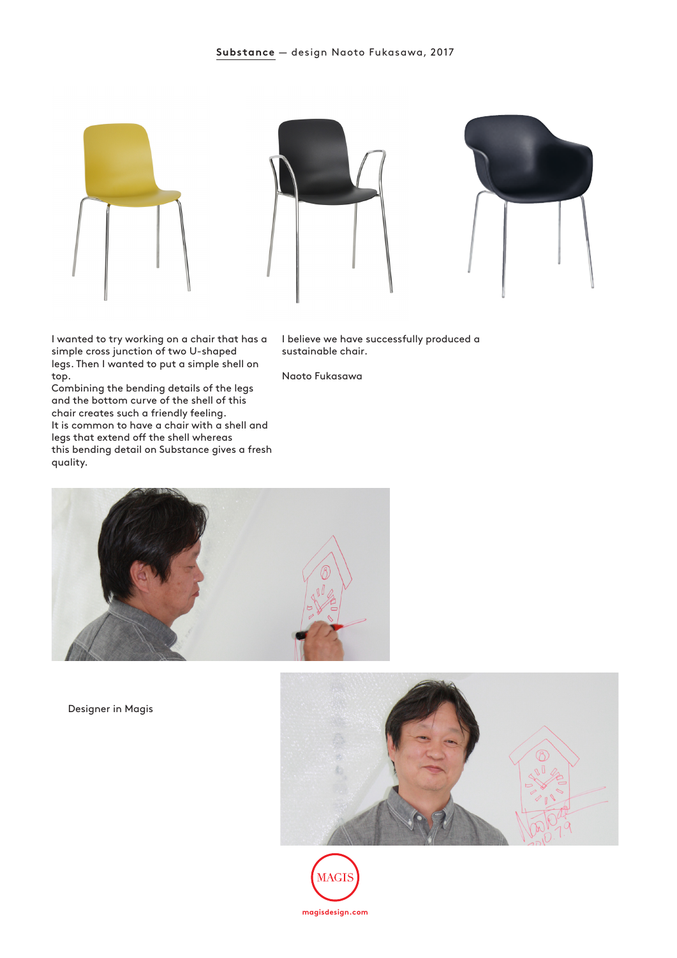

I wanted to try working on a chair that has a simple cross junction of two U-shaped legs. Then I wanted to put a simple shell on top.

Combining the bending details of the legs and the bottom curve of the shell of this chair creates such a friendly feeling. It is common to have a chair with a shell and legs that extend off the shell whereas this bending detail on Substance gives a fresh quality.

I believe we have successfully produced a sustainable chair.

Naoto Fukasawa



Designer in Magis



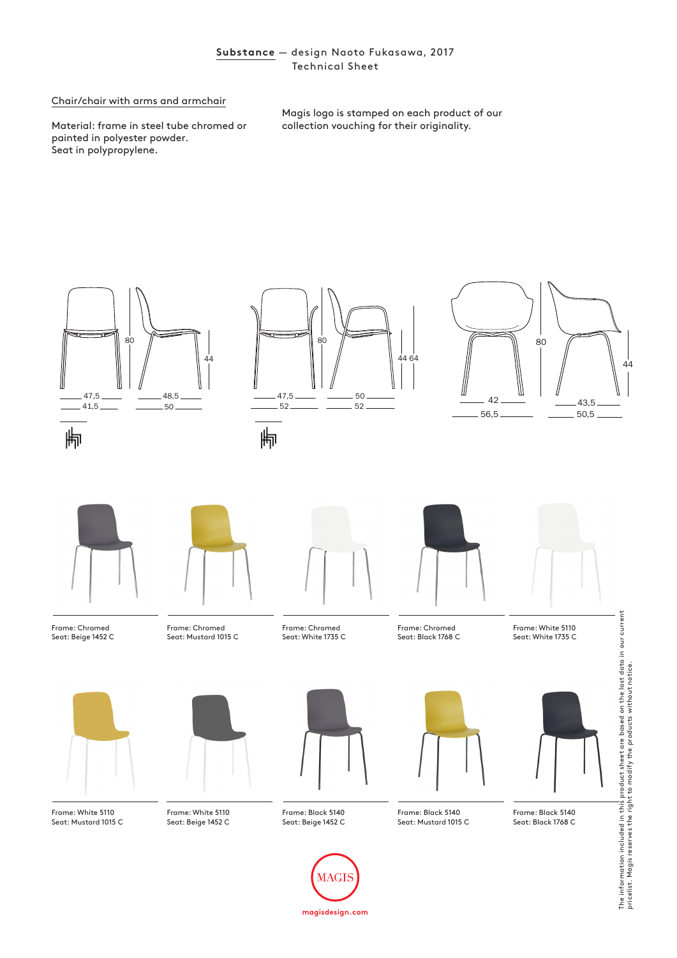## **Substance** — design Naoto Fukasawa, 2017 Technical Sheet

## Chair/chair with arms and armchair

Material: frame in steel tube chromed or painted in polyester powder. Seat in polypropylene.

Magis logo is stamped on each product of our collection vouching for their originality.



**magisdesign.com**

MAGI